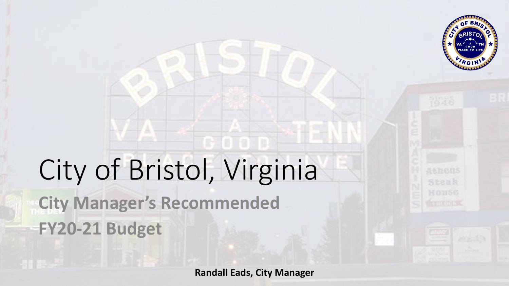

## City of Bristol, Virginia **City Manager's Recommended FY20-21 Budget**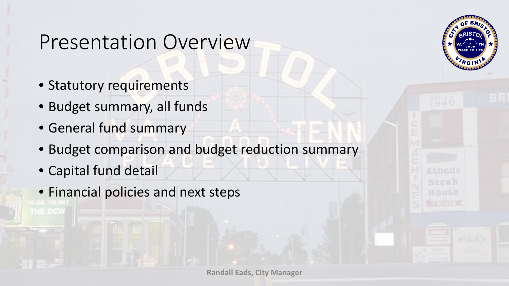#### Presentation Overview

- Statutory requirements
- Budget summary, all funds
- General fund summary
- Budget comparison and budget reduction summary
- Capital fund detail

THE DEW

• Financial policies and next steps

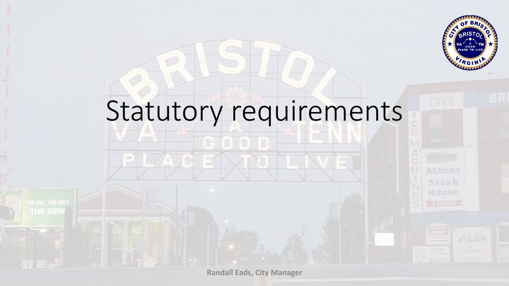

# Statutory requirements

**Randall Eads, City Manager**

THE DEW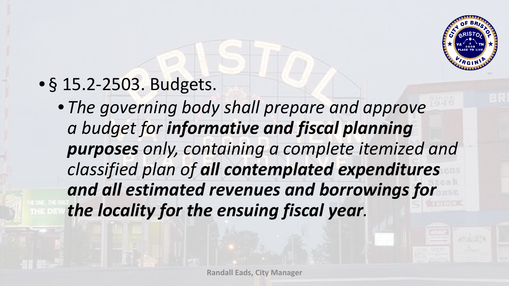

#### • § 15.2-2503. Budgets.

• *The governing body shall prepare and approve a budget for informative and fiscal planning purposes only, containing a complete itemized and classified plan of all contemplated expenditures and all estimated revenues and borrowings for the locality for the ensuing fiscal year.*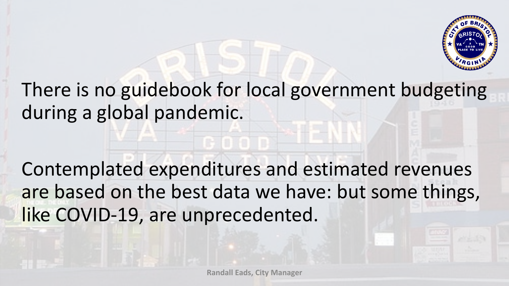

#### There is no guidebook for local government budgeting during a global pandemic.

Contemplated expenditures and estimated revenues are based on the best data we have: but some things, like COVID-19, are unprecedented.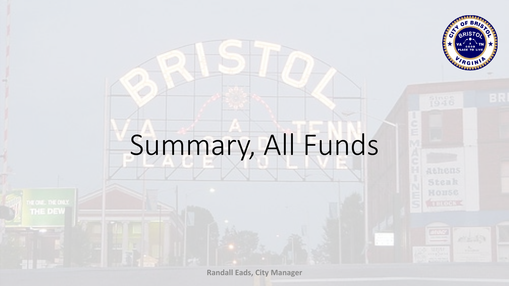

# Summary, All Funds

THE DEW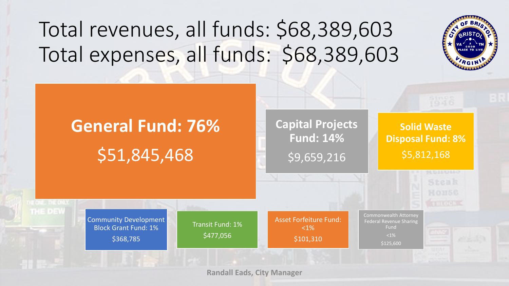### Total revenues, all funds: \$68,389,603 Total expenses, all funds: \$68,389,603



## **General Fund: 76%** \$51,845,468

#### **Capital Projects Fund: 14%** \$9,659,216

**Solid Waste Disposal Fund: 8%** \$5,812,168

Community Development Block Grant Fund: 1% \$368,785

THE DEW

Transit Fund: 1% \$477,056

Asset Forfeiture Fund:  $<1\%$ \$101,310

Commonwealth Attorney Federal Revenue Sharing Fund  $< 1\%$ \$125,600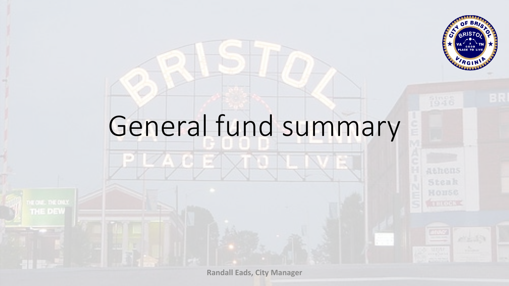

# General fund summary

34A J C

THE DEW

M.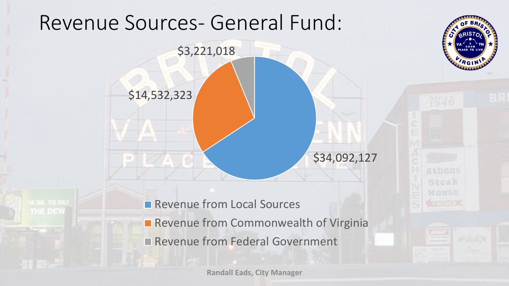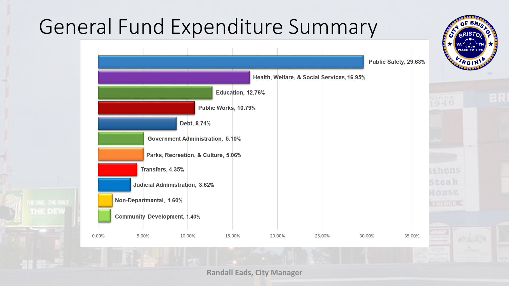### General Fund Expenditure Summary

THE DEW

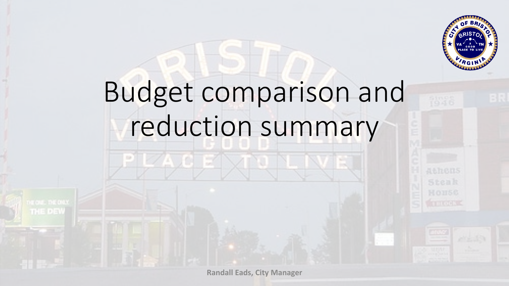

# Budget comparison and reduction summary

**Randall Eads, City Manager**

THE DEW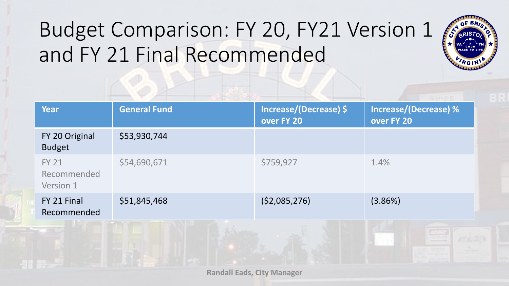### Budget Comparison: FY 20, FY21 Version 1 and FY 21 Final Recommended

| <b>Year</b>                              | <b>General Fund</b> | Increase/(Decrease) \$<br>over FY 20 | <b>Increase/(Decrease)%</b><br>over FY 20 |
|------------------------------------------|---------------------|--------------------------------------|-------------------------------------------|
| FY 20 Original<br><b>Budget</b>          | \$53,930,744        |                                      |                                           |
| <b>FY 21</b><br>Recommended<br>Version 1 | \$54,690,671        | \$759,927                            | 1.4%                                      |
| FY 21 Final<br>Recommended               | \$51,845,468        | (52,085,276)                         | (3.86%)                                   |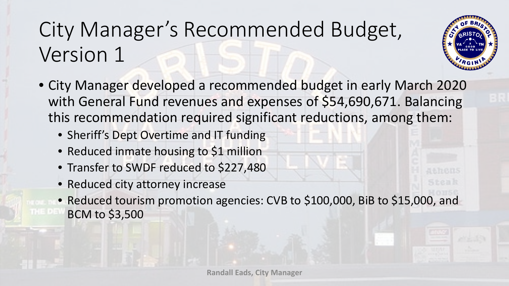### City Manager's Recommended Budget, Version 1



- City Manager developed a recommended budget in early March 2020 with General Fund revenues and expenses of \$54,690,671. Balancing this recommendation required significant reductions, among them:
	- Sheriff's Dept Overtime and IT funding
	- Reduced inmate housing to \$1 million
	- Transfer to SWDF reduced to \$227,480
	- Reduced city attorney increase
	- Reduced tourism promotion agencies: CVB to \$100,000, BiB to \$15,000, and BCM to \$3,500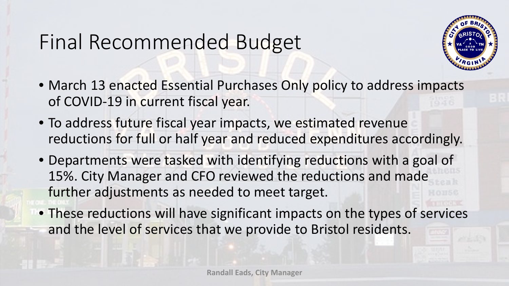#### Final Recommended Budget



- March 13 enacted Essential Purchases Only policy to address impacts of COVID-19 in current fiscal year.
- To address future fiscal year impacts, we estimated revenue reductions for full or half year and reduced expenditures accordingly.
- Departments were tasked with identifying reductions with a goal of 15%. City Manager and CFO reviewed the reductions and made further adjustments as needed to meet target.
- These reductions will have significant impacts on the types of services and the level of services that we provide to Bristol residents.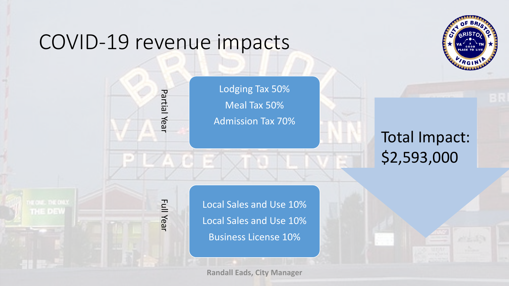#### COVID-19 revenue impacts

Partial Year



Full Year Partial Year Full Year

THE DEW

Lodging Tax 50% Meal Tax 50% Admission Tax 70%

> Total Impact: \$2,593,000

Local Sales and Use 10% Local Sales and Use 10% Business License 10%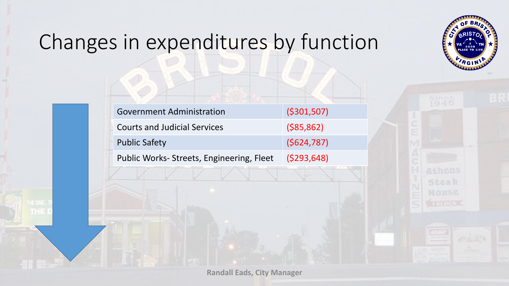

### Changes in expenditures by function

开上

| <b>Government Administration</b>         | ( \$301, 507) |
|------------------------------------------|---------------|
| <b>Courts and Judicial Services</b>      | $($ \$85,862) |
| <b>Public Safety</b>                     | (5624, 787)   |
| Public Works-Streets, Engineering, Fleet | (5293, 648)   |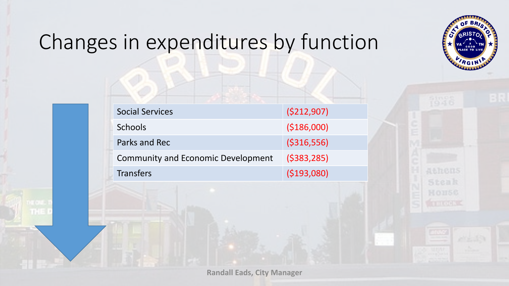

### Changes in expenditures by function

打出

| <b>Social Services</b>                    | (5212,907)    |
|-------------------------------------------|---------------|
| <b>Schools</b>                            | ( \$186,000]  |
| Parks and Rec                             | ( \$316, 556) |
| <b>Community and Economic Development</b> | (5383, 285)   |
| <b>Transfers</b>                          | (5193,080)    |

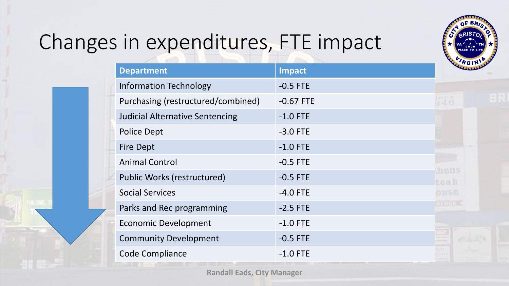

### Changes in expenditures, FTE impact

| <b>Department</b>                      | Impact      |                                |
|----------------------------------------|-------------|--------------------------------|
| <b>Information Technology</b>          | $-0.5$ FTE  |                                |
| Purchasing (restructured/combined)     | $-0.67$ FTE | 536                            |
| <b>Judicial Alternative Sentencing</b> | $-1.0$ FTE  |                                |
| <b>Police Dept</b>                     | $-3.0$ FTE  |                                |
| <b>Fire Dept</b>                       | $-1.0$ FTE  |                                |
| <b>Animal Control</b>                  | $-0.5$ FTE  |                                |
| <b>Public Works (restructured)</b>     | $-0.5$ FTE  | <b>STRIBERS</b><br><b>Eenk</b> |
| <b>Social Services</b>                 | $-4.0$ FTE  | 01156                          |
| Parks and Rec programming              | $-2.5$ FTE  | proce k                        |
| <b>Economic Development</b>            | $-1.0$ FTE  |                                |
| <b>Community Development</b>           | $-0.5$ FTE  |                                |
| <b>Code Compliance</b>                 | $-1.0$ FTE  |                                |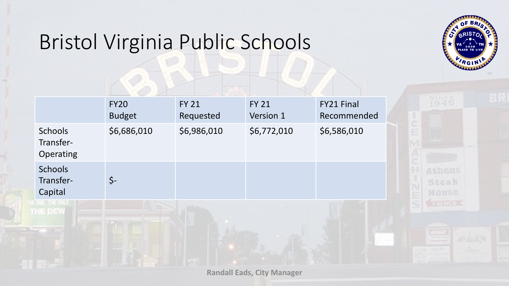### Bristol Virginia Public Schools



|                                        | <b>FY20</b><br><b>Budget</b> | <b>FY 21</b><br>Requested | <b>FY 21</b><br>Version 1 | <b>FY21 Final</b><br>Recommended |                 |
|----------------------------------------|------------------------------|---------------------------|---------------------------|----------------------------------|-----------------|
| Schools<br>Transfer-<br>Operating      | \$6,686,010                  | \$6,986,010               | \$6,772,010               | \$6,586,010                      |                 |
| <b>Schools</b><br>Transfer-<br>Capital | $\zeta$ -                    |                           |                           |                                  | Atl<br>56<br>НO |
| pra mg/0x92<br>THE DEW                 |                              |                           |                           |                                  | are             |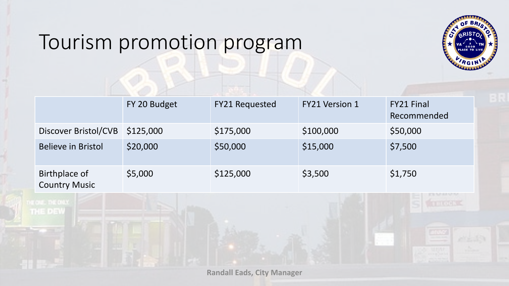#### Tourism promotion program

THE DEW



|                                       | FY 20 Budget | <b>FY21 Requested</b> | <b>FY21 Version 1</b> | <b>FY21 Final</b><br>Recommended |
|---------------------------------------|--------------|-----------------------|-----------------------|----------------------------------|
| Discover Bristol/CVB                  | \$125,000    | \$175,000             | \$100,000             | \$50,000                         |
| <b>Believe in Bristol</b>             | \$20,000     | \$50,000              | \$15,000              | \$7,500                          |
| Birthplace of<br><b>Country Music</b> | \$5,000      | \$125,000             | \$3,500               | \$1,750                          |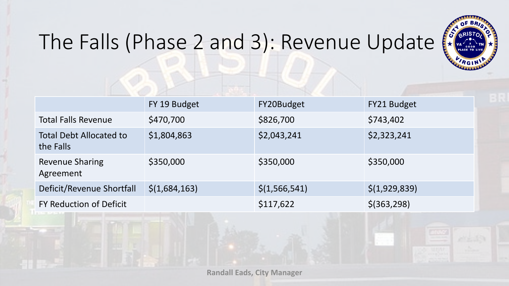

### The Falls (Phase 2 and 3): Revenue Update (

|                                             | FY 19 Budget  | FY20Budget      | FY21 Budget   |
|---------------------------------------------|---------------|-----------------|---------------|
| <b>Total Falls Revenue</b>                  | \$470,700     | \$826,700       | \$743,402     |
| <b>Total Debt Allocated to</b><br>the Falls | \$1,804,863   | \$2,043,241     | \$2,323,241   |
| <b>Revenue Sharing</b><br>Agreement         | \$350,000     | \$350,000       | \$350,000     |
| Deficit/Revenue Shortfall                   | \$(1,684,163) | \$(1, 566, 541) | \$(1,929,839) |
| FY Reduction of Deficit                     |               | \$117,622       | $$$ (363,298) |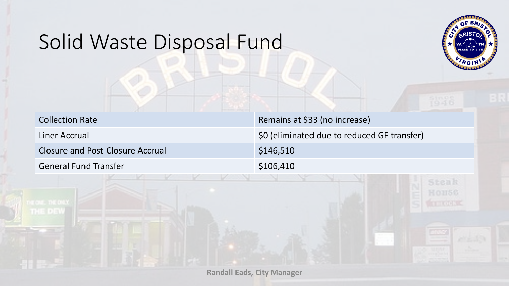#### Solid Waste Disposal Fund

THE DEW



| <b>Collection Rate</b>           | Remains at \$33 (no increase)               |
|----------------------------------|---------------------------------------------|
| Liner Accrual                    | \$0 (eliminated due to reduced GF transfer) |
| Closure and Post-Closure Accrual | \$146,510                                   |
| <b>General Fund Transfer</b>     | \$106,410                                   |
|                                  |                                             |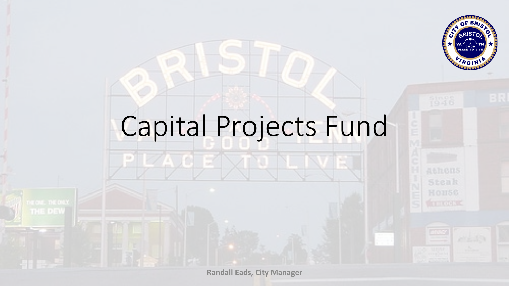

# Capital Projects Fund

 $\mathbb{R}^7$ 

84A J C

**Cold** 

THE DEW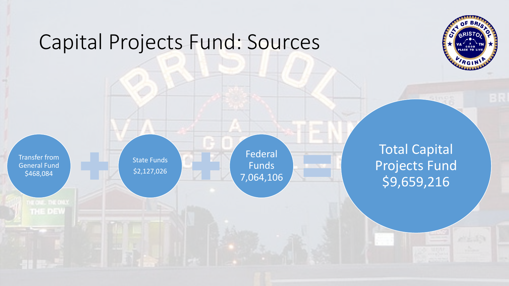#### Capital Projects Fund: Sources



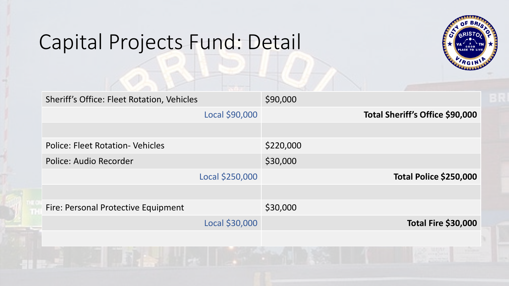#### Capital Projects Fund: Detail



| Sheriff's Office: Fleet Rotation, Vehicles |                 | \$90,000  |                                 |
|--------------------------------------------|-----------------|-----------|---------------------------------|
|                                            | Local \$90,000  |           | Total Sheriff's Office \$90,000 |
|                                            |                 |           |                                 |
| <b>Police: Fleet Rotation- Vehicles</b>    |                 | \$220,000 |                                 |
| Police: Audio Recorder                     |                 | \$30,000  |                                 |
|                                            | Local \$250,000 |           | Total Police \$250,000          |
|                                            |                 |           |                                 |
| Fire: Personal Protective Equipment        |                 | \$30,000  |                                 |
|                                            | Local \$30,000  |           | <b>Total Fire \$30,000</b>      |
|                                            |                 |           |                                 |
|                                            |                 |           |                                 |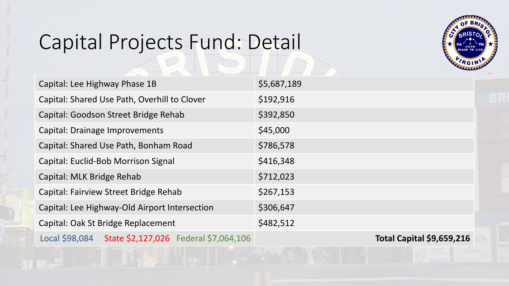### Capital Projects Fund: Detail



| Capital: Lee Highway Phase 1B                        | \$5,687,189                      |
|------------------------------------------------------|----------------------------------|
| Capital: Shared Use Path, Overhill to Clover         | \$192,916                        |
| Capital: Goodson Street Bridge Rehab                 | \$392,850                        |
| Capital: Drainage Improvements                       | \$45,000                         |
| Capital: Shared Use Path, Bonham Road                | \$786,578                        |
| Capital: Euclid-Bob Morrison Signal                  | \$416,348                        |
| Capital: MLK Bridge Rehab                            | \$712,023                        |
| Capital: Fairview Street Bridge Rehab                | \$267,153                        |
| Capital: Lee Highway-Old Airport Intersection        | \$306,647                        |
| Capital: Oak St Bridge Replacement                   | \$482,512                        |
| Local \$98,084 State \$2,127,026 Federal \$7,064,106 | <b>Total Capital \$9,659,216</b> |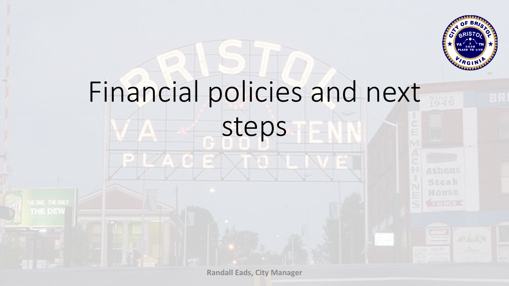

# Financial policies and next steps

**Randall Eads, City Manager**

THE DEW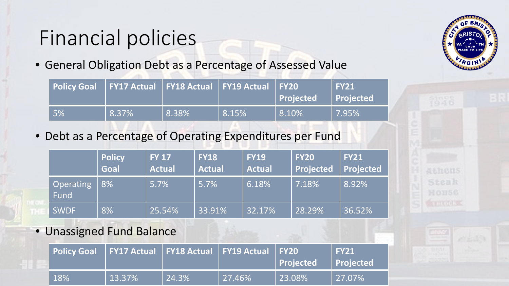### Financial policies

• General Obligation Debt as a Percentage of Assessed Value

| Policy Goal   FY17 Actual   FY18 Actual   FY19 Actual   FY20 |       |       |       | Projected | <b>FY21</b><br><b>Projected</b> |
|--------------------------------------------------------------|-------|-------|-------|-----------|---------------------------------|
| 5%                                                           | 8.37% | 8.38% | 8.15% | $8.10\%$  | 7.95%                           |

• Debt as a Percentage of Operating Expenditures per Fund

|                   | <b>Policy</b><br>Goal | <b>FY 17</b><br><b>Actual</b> | <b>FY18</b><br><b>Actual</b> | <b>FY19</b><br><b>Actual</b> | <b>FY20</b><br><b>Projected</b> | <b>FY21</b><br>Projected |
|-------------------|-----------------------|-------------------------------|------------------------------|------------------------------|---------------------------------|--------------------------|
| Operating<br>Fund | 8%                    | 5.7%                          | 5.7%                         | 6.18%                        | 7.18%                           | 8.92%                    |
| <b>SWDF</b>       | 8%                    | 25.54%                        | 33.91%                       | 32.17%                       | 28.29%                          | 36.52%                   |

• Unassigned Fund Balance

| Policy Goal   FY17 Actual   FY18 Actual   FY19 Actual   FY20 |                |       |         | Projected | <b>FY21</b><br><b>Projected</b> |
|--------------------------------------------------------------|----------------|-------|---------|-----------|---------------------------------|
| $\vert$ 18%                                                  | $\vert$ 13.37% | 24.3% | 127.46% | 23.08%    | $ 27.07\% $                     |